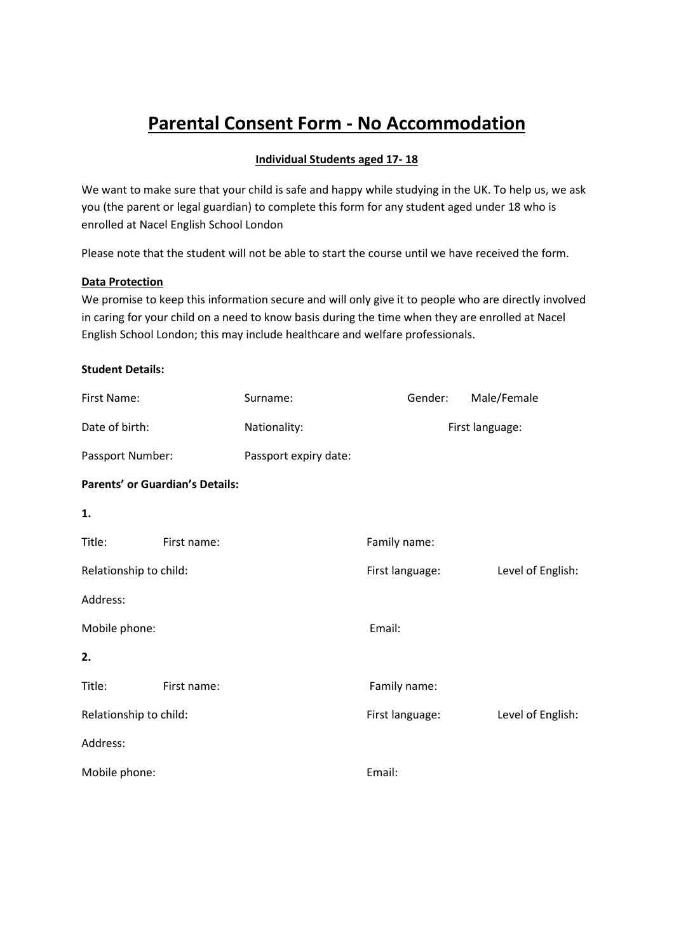# **Parental Consent Form - No Accommodation**

## **Individual Students aged 17- 18**

We want to make sure that your child is safe and happy while studying in the UK. To help us, we ask you (the parent or legal guardian) to complete this form for any student aged under 18 who is enrolled at Nacel English School London

Please note that the student will not be able to start the course until we have received the form.

#### **Data Protection**

We promise to keep this information secure and will only give it to people who are directly involved in caring for your child on a need to know basis during the time when they are enrolled at Nacel English School London; this may include healthcare and welfare professionals.

## **Student Details:**

| First Name:            |                                        | Surname:              | Gender:         | Male/Female       |
|------------------------|----------------------------------------|-----------------------|-----------------|-------------------|
| Date of birth:         |                                        | Nationality:          | First language: |                   |
| Passport Number:       |                                        | Passport expiry date: |                 |                   |
|                        | <b>Parents' or Guardian's Details:</b> |                       |                 |                   |
| 1.                     |                                        |                       |                 |                   |
| Title:                 | First name:                            |                       | Family name:    |                   |
| Relationship to child: |                                        |                       | First language: | Level of English: |
| Address:               |                                        |                       |                 |                   |
| Mobile phone:          |                                        |                       | Email:          |                   |
| 2.                     |                                        |                       |                 |                   |
| Title:                 | First name:                            |                       | Family name:    |                   |
| Relationship to child: |                                        |                       | First language: | Level of English: |
| Address:               |                                        |                       |                 |                   |
| Mobile phone:          |                                        |                       | Email:          |                   |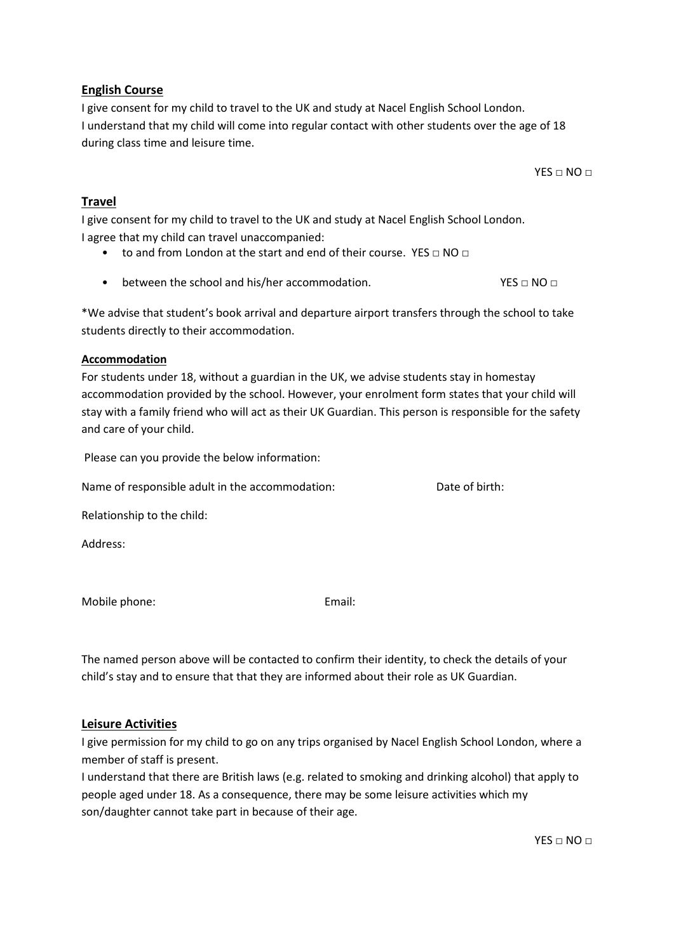#### $YES \sqcap NO \sqcap$

# I understand that my child will come into regular contact with other students over the age of 18 during class time and leisure time.

**Travel**

I give consent for my child to travel to the UK and study at Nacel English School London. I agree that my child can travel unaccompanied:

- to and from London at the start and end of their course. YES □ NO □
- between the school and his/her accommodation.  $YES \square NO \square$

\*We advise that student's book arrival and departure airport transfers through the school to take students directly to their accommodation.

# **Accommodation**

For students under 18, without a guardian in the UK, we advise students stay in homestay accommodation provided by the school. However, your enrolment form states that your child will stay with a family friend who will act as their UK Guardian. This person is responsible for the safety and care of your child.

Please can you provide the below information:

Name of responsible adult in the accommodation: Date of birth:

Relationship to the child:

Mobile phone: Email:

The named person above will be contacted to confirm their identity, to check the details of your child's stay and to ensure that that they are informed about their role as UK Guardian.

# **Leisure Activities**

I give permission for my child to go on any trips organised by Nacel English School London, where a member of staff is present.

I understand that there are British laws (e.g. related to smoking and drinking alcohol) that apply to people aged under 18. As a consequence, there may be some leisure activities which my son/daughter cannot take part in because of their age.

 $YES \sqcap NO \sqcap$ 

**English Course** I give consent for my child to travel to the UK and study at Nacel English School London.

Address: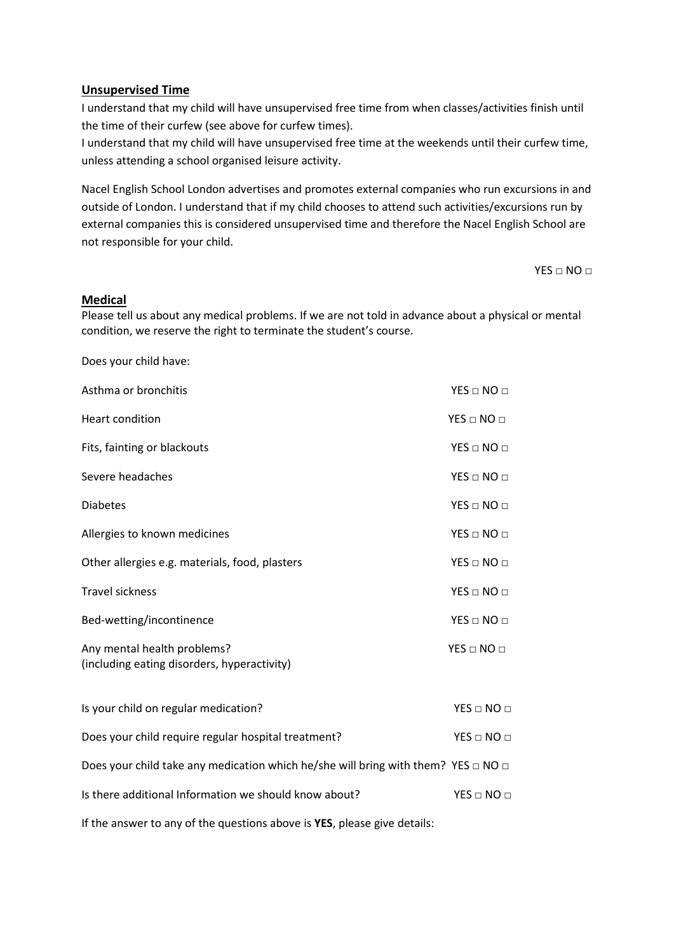### **Unsupervised Time**

I understand that my child will have unsupervised free time from when classes/activities finish until the time of their curfew (see above for curfew times).

I understand that my child will have unsupervised free time at the weekends until their curfew time, unless attending a school organised leisure activity.

Nacel English School London advertises and promotes external companies who run excursions in and outside of London. I understand that if my child chooses to attend such activities/excursions run by external companies this is considered unsupervised time and therefore the Nacel English School are not responsible for your child.

 $YES \sqcap NO \sqcap$ 

#### **Medical**

Please tell us about any medical problems. If we are not told in advance about a physical or mental condition, we reserve the right to terminate the student's course.

| Does your child have:                                                                       |                    |
|---------------------------------------------------------------------------------------------|--------------------|
| Asthma or bronchitis                                                                        | $YES \Box NO \Box$ |
| <b>Heart condition</b>                                                                      | $YES \Box NO \Box$ |
| Fits, fainting or blackouts                                                                 | $YES \Box NO \Box$ |
| Severe headaches                                                                            | $YES \Box NO \Box$ |
| <b>Diabetes</b>                                                                             | $YES \Box NO \Box$ |
| Allergies to known medicines                                                                | $YES \Box NO \Box$ |
| Other allergies e.g. materials, food, plasters                                              | $YES \Box NO \Box$ |
| <b>Travel sickness</b>                                                                      | $YES \Box NO \Box$ |
| Bed-wetting/incontinence                                                                    | $YES \Box NO \Box$ |
| Any mental health problems?<br>(including eating disorders, hyperactivity)                  | $YES \Box NO \Box$ |
| Is your child on regular medication?                                                        | $YES \Box NO \Box$ |
| Does your child require regular hospital treatment?                                         | $YES \Box NO \Box$ |
| Does your child take any medication which he/she will bring with them? YES $\Box$ NO $\Box$ |                    |
| Is there additional Information we should know about?                                       | $YES \Box NO \Box$ |
| If the answer to any of the questions above is YES, please give details:                    |                    |